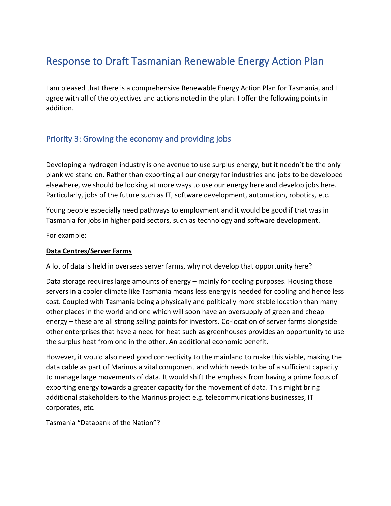# Response to Draft Tasmanian Renewable Energy Action Plan

I am pleased that there is a comprehensive Renewable Energy Action Plan for Tasmania, and I agree with all of the objectives and actions noted in the plan. I offer the following points in addition.

# Priority 3: Growing the economy and providing jobs

Developing a hydrogen industry is one avenue to use surplus energy, but it needn't be the only plank we stand on. Rather than exporting all our energy for industries and jobs to be developed elsewhere, we should be looking at more ways to use our energy here and develop jobs here. Particularly, jobs of the future such as IT, software development, automation, robotics, etc.

Young people especially need pathways to employment and it would be good if that was in Tasmania for jobs in higher paid sectors, such as technology and software development.

For example:

#### **Data Centres/Server Farms**

A lot of data is held in overseas server farms, why not develop that opportunity here?

Data storage requires large amounts of energy – mainly for cooling purposes. Housing those servers in a cooler climate like Tasmania means less energy is needed for cooling and hence less cost. Coupled with Tasmania being a physically and politically more stable location than many other places in the world and one which will soon have an oversupply of green and cheap energy – these are all strong selling points for investors. Co-location of server farms alongside other enterprises that have a need for heat such as greenhouses provides an opportunity to use the surplus heat from one in the other. An additional economic benefit.

However, it would also need good connectivity to the mainland to make this viable, making the data cable as part of Marinus a vital component and which needs to be of a sufficient capacity to manage large movements of data. It would shift the emphasis from having a prime focus of exporting energy towards a greater capacity for the movement of data. This might bring additional stakeholders to the Marinus project e.g. telecommunications businesses, IT corporates, etc.

Tasmania "Databank of the Nation"?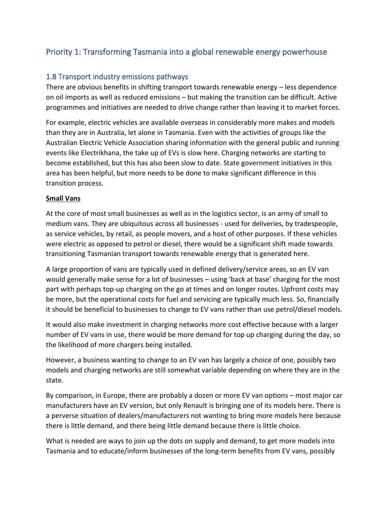# Priority 1: Transforming Tasmania into a global renewable energy powerhouse

### 1.8 Transport industry emissions pathways

There are obvious benefits in shifting transport towards renewable energy – less dependence on oil imports as well as reduced emissions – but making the transition can be difficult. Active programmes and initiatives are needed to drive change rather than leaving it to market forces.

For example, electric vehicles are available overseas in considerably more makes and models than they are in Australia, let alone in Tasmania. Even with the activities of groups like the Australian Electric Vehicle Association sharing information with the general public and running events like Electrikhana, the take up of EVs is slow here. Charging networks are starting to become established, but this has also been slow to date. State government initiatives in this area has been helpful, but more needs to be done to make significant difference in this transition process.

#### **Small Vans**

At the core of most small businesses as well as in the logistics sector, is an army of small to medium vans. They are ubiquitous across all businesses - used for deliveries, by tradespeople, as service vehicles, by retail, as people movers, and a host of other purposes. If these vehicles were electric as opposed to petrol or diesel, there would be a significant shift made towards transitioning Tasmanian transport towards renewable energy that is generated here.

A large proportion of vans are typically used in defined delivery/service areas, so an EV van would generally make sense for a lot of businesses – using 'back at base' charging for the most part with perhaps top-up charging on the go at times and on longer routes. Upfront costs may be more, but the operational costs for fuel and servicing are typically much less. So, financially it should be beneficial to businesses to change to EV vans rather than use petrol/diesel models.

It would also make investment in charging networks more cost effective because with a larger number of EV vans in use, there would be more demand for top up charging during the day, so the likelihood of more chargers being installed.

However, a business wanting to change to an EV van has largely a choice of one, possibly two models and charging networks are still somewhat variable depending on where they are in the state.

By comparison, in Europe, there are probably a dozen or more EV van options – most major car manufacturers have an EV version, but only Renault is bringing one of its models here. There is a perverse situation of dealers/manufacturers not wanting to bring more models here because there is little demand, and there being little demand because there is little choice.

What is needed are ways to join up the dots on supply and demand, to get more models into Tasmania and to educate/inform businesses of the long-term benefits from EV vans, possibly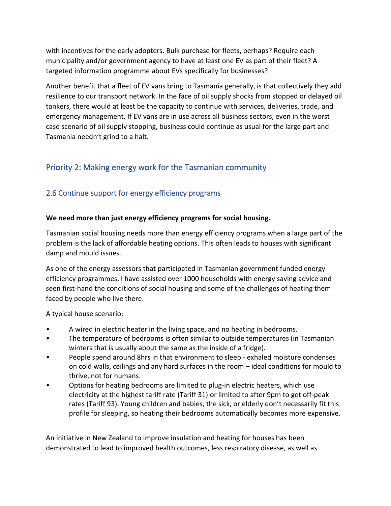with incentives for the early adopters. Bulk purchase for fleets, perhaps? Require each municipality and/or government agency to have at least one EV as part of their fleet? A targeted information programme about EVs specifically for businesses?

Another benefit that a fleet of EV vans bring to Tasmania generally, is that collectively they add resilience to our transport network. In the face of oil supply shocks from stopped or delayed oil tankers, there would at least be the capacity to continue with services, deliveries, trade, and emergency management. If EV vans are in use across all business sectors, even in the worst case scenario of oil supply stopping, business could continue as usual for the large part and Tasmania needn't grind to a halt.

# Priority 2: Making energy work for the Tasmanian community

# 2.6 Continue support for energy efficiency programs

### **We need more than just energy efficiency programs for social housing.**

Tasmanian social housing needs more than energy efficiency programs when a large part of the problem is the lack of affordable heating options. This often leads to houses with significant damp and mould issues.

As one of the energy assessors that participated in Tasmanian government funded energy efficiency programmes, I have assisted over 1000 households with energy saving advice and seen first-hand the conditions of social housing and some of the challenges of heating them faced by people who live there.

A typical house scenario:

- A wired in electric heater in the living space, and no heating in bedrooms.
- The temperature of bedrooms is often similar to outside temperatures (in Tasmanian winters that is usually about the same as the inside of a fridge).
- People spend around 8hrs in that environment to sleep exhaled moisture condenses on cold walls, ceilings and any hard surfaces in the room – ideal conditions for mould to thrive, not for humans.
- Options for heating bedrooms are limited to plug-in electric heaters, which use electricity at the highest tariff rate (Tariff 31) or limited to after 9pm to get off-peak rates (Tariff 93). Young children and babies, the sick, or elderly don't necessarily fit this profile for sleeping, so heating their bedrooms automatically becomes more expensive.

An initiative in New Zealand to improve insulation and heating for houses has been demonstrated to lead to improved health outcomes, less respiratory disease, as well as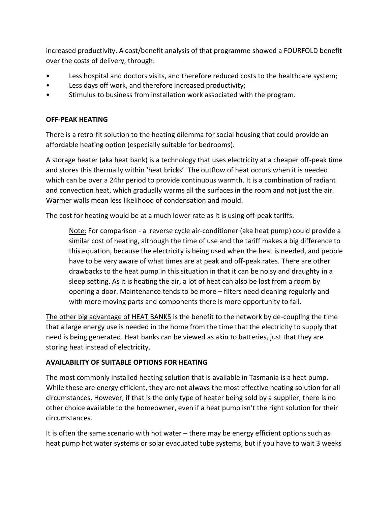increased productivity. A cost/benefit analysis of that programme showed a FOURFOLD benefit over the costs of delivery, through:

- Less hospital and doctors visits, and therefore reduced costs to the healthcare system;
- Less days off work, and therefore increased productivity;
- Stimulus to business from installation work associated with the program.

#### **OFF-PEAK HEATING**

There is a retro-fit solution to the heating dilemma for social housing that could provide an affordable heating option (especially suitable for bedrooms).

A storage heater (aka heat bank) is a technology that uses electricity at a cheaper off-peak time and stores this thermally within 'heat bricks'. The outflow of heat occurs when it is needed which can be over a 24hr period to provide continuous warmth. It is a combination of radiant and convection heat, which gradually warms all the surfaces in the room and not just the air. Warmer walls mean less likelihood of condensation and mould.

The cost for heating would be at a much lower rate as it is using off-peak tariffs.

Note: For comparison - a reverse cycle air-conditioner (aka heat pump) could provide a similar cost of heating, although the time of use and the tariff makes a big difference to this equation, because the electricity is being used when the heat is needed, and people have to be very aware of what times are at peak and off-peak rates. There are other drawbacks to the heat pump in this situation in that it can be noisy and draughty in a sleep setting. As it is heating the air, a lot of heat can also be lost from a room by opening a door. Maintenance tends to be more – filters need cleaning regularly and with more moving parts and components there is more opportunity to fail.

The other big advantage of HEAT BANKS is the benefit to the network by de-coupling the time that a large energy use is needed in the home from the time that the electricity to supply that need is being generated. Heat banks can be viewed as akin to batteries, just that they are storing heat instead of electricity.

#### **AVAILABILITY OF SUITABLE OPTIONS FOR HEATING**

The most commonly installed heating solution that is available in Tasmania is a heat pump. While these are energy efficient, they are not always the most effective heating solution for all circumstances. However, if that is the only type of heater being sold by a supplier, there is no other choice available to the homeowner, even if a heat pump isn't the right solution for their circumstances.

It is often the same scenario with hot water – there may be energy efficient options such as heat pump hot water systems or solar evacuated tube systems, but if you have to wait 3 weeks